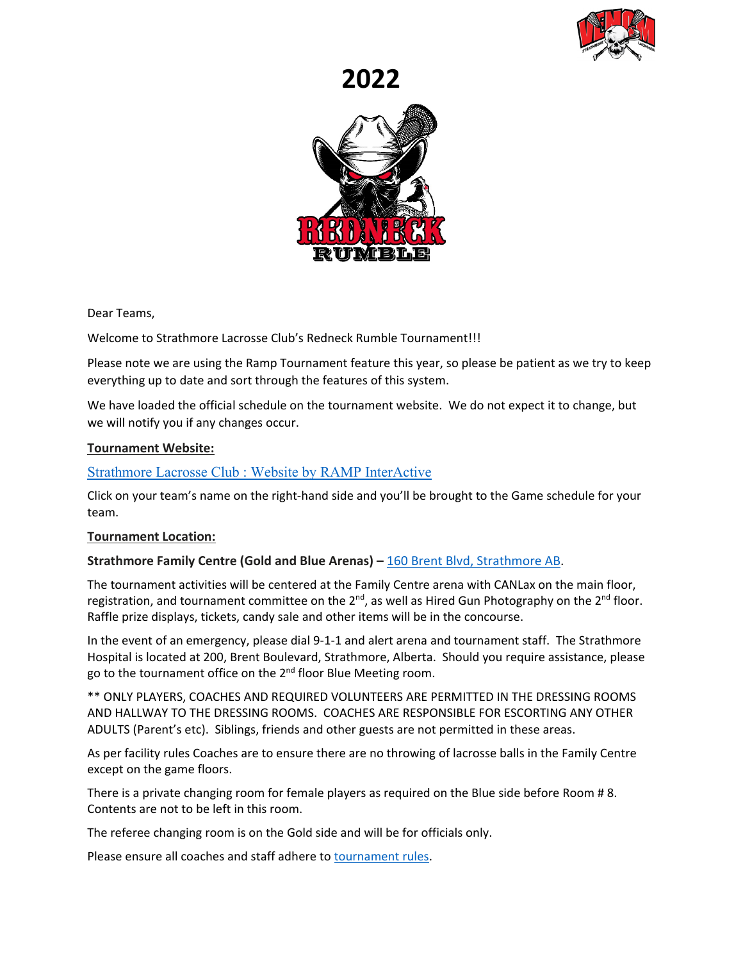

# **2022**



Dear Teams,

Welcome to Strathmore Lacrosse Club's Redneck Rumble Tournament!!!

Please note we are using the Ramp Tournament feature this year, so please be patient as we try to keep everything up to date and sort through the features of this system.

We have loaded the official schedule on the tournament website. We do not expect it to change, but we will notify you if any changes occur.

#### **Tournament Website:**

#### Strathmore Lacrosse Club [: Website by RAMP InterActive](https://strathmorelacrosse.com/tournament/1061)

Click on your team's name on the right-hand side and you'll be brought to the Game schedule for your team.

#### **Tournament Location:**

#### **Strathmore Family Centre (Gold and Blue Arenas) –** [160 Brent Blvd, Strathmore AB.](https://www.google.ca/maps/place/Strathmore+Family+Centre+Arena/@51.0603494,-113.3937295,15z/data=!4m5!3m4!1s0x0:0xcdb5f18237c81a55!8m2!3d51.0603494!4d-113.3937295)

The tournament activities will be centered at the Family Centre arena with CANLax on the main floor, registration, and tournament committee on the  $2^{nd}$ , as well as Hired Gun Photography on the  $2^{nd}$  floor. Raffle prize displays, tickets, candy sale and other items will be in the concourse.

In the event of an emergency, please dial 9-1-1 and alert arena and tournament staff. The Strathmore Hospital is located at 200, Brent Boulevard, Strathmore, Alberta. Should you require assistance, please go to the tournament office on the 2<sup>nd</sup> floor Blue Meeting room.

\*\* ONLY PLAYERS, COACHES AND REQUIRED VOLUNTEERS ARE PERMITTED IN THE DRESSING ROOMS AND HALLWAY TO THE DRESSING ROOMS. COACHES ARE RESPONSIBLE FOR ESCORTING ANY OTHER ADULTS (Parent's etc). Siblings, friends and other guests are not permitted in these areas.

As per facility rules Coaches are to ensure there are no throwing of lacrosse balls in the Family Centre except on the game floors.

There is a private changing room for female players as required on the Blue side before Room # 8. Contents are not to be left in this room.

The referee changing room is on the Gold side and will be for officials only.

Please ensure all coaches and staff adhere to [tournament rules.](https://cloud.rampinteractive.com/strathmorelacrosse/files/RNR%202022/TournamentRules.pdf)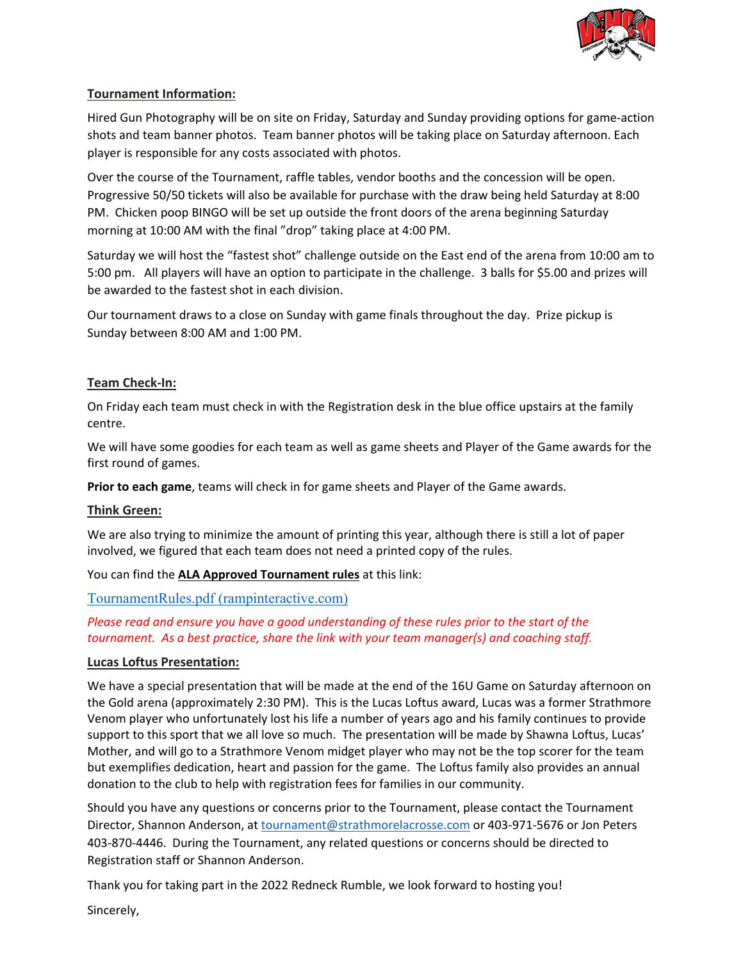

## **Tournament Information:**

Hired Gun Photography will be on site on Friday, Saturday and Sunday providing options for game-action shots and team banner photos. Team banner photos will be taking place on Saturday afternoon. Each player is responsible for any costs associated with photos.

Over the course of the Tournament, raffle tables, vendor booths and the concession will be open. Progressive 50/50 tickets will also be available for purchase with the draw being held Saturday at 8:00 PM. Chicken poop BINGO will be set up outside the front doors of the arena beginning Saturday morning at 10:00 AM with the final "drop" taking place at 4:00 PM.

Saturday we will host the "fastest shot" challenge outside on the East end of the arena from 10:00 am to 5:00 pm. All players will have an option to participate in the challenge. 3 balls for \$5.00 and prizes will be awarded to the fastest shot in each division.

Our tournament draws to a close on Sunday with game finals throughout the day. Prize pickup is Sunday between 8:00 AM and 1:00 PM.

## **Team Check-In:**

On Friday each team must check in with the Registration desk in the blue office upstairs at the family centre.

We will have some goodies for each team as well as game sheets and Player of the Game awards for the first round of games.

**Prior to each game**, teams will check in for game sheets and Player of the Game awards.

### **Think Green:**

We are also trying to minimize the amount of printing this year, although there is still a lot of paper involved, we figured that each team does not need a printed copy of the rules.

You can find the **ALA Approved Tournament rules** at this link:

[TournamentRules.pdf \(rampinteractive.com\)](https://cloud.rampinteractive.com/strathmorelacrosse/files/RNR%202022/TournamentRules.pdf)

## *Please read and ensure you have a good understanding of these rules prior to the start of the tournament. As a best practice, share the link with your team manager(s) and coaching staff.*

### **Lucas Loftus Presentation:**

We have a special presentation that will be made at the end of the 16U Game on Saturday afternoon on the Gold arena (approximately 2:30 PM). This is the Lucas Loftus award, Lucas was a former Strathmore Venom player who unfortunately lost his life a number of years ago and his family continues to provide support to this sport that we all love so much. The presentation will be made by Shawna Loftus, Lucas' Mother, and will go to a Strathmore Venom midget player who may not be the top scorer for the team but exemplifies dedication, heart and passion for the game. The Loftus family also provides an annual donation to the club to help with registration fees for families in our community.

Should you have any questions or concerns prior to the Tournament, please contact the Tournament Director, Shannon Anderson, at [tournament@strathmorelacrosse.com](mailto:tournament@strathmorelacrosse.com) or 403-971-5676 or Jon Peters 403-870-4446. During the Tournament, any related questions or concerns should be directed to Registration staff or Shannon Anderson.

Thank you for taking part in the 2022 Redneck Rumble, we look forward to hosting you!

Sincerely,